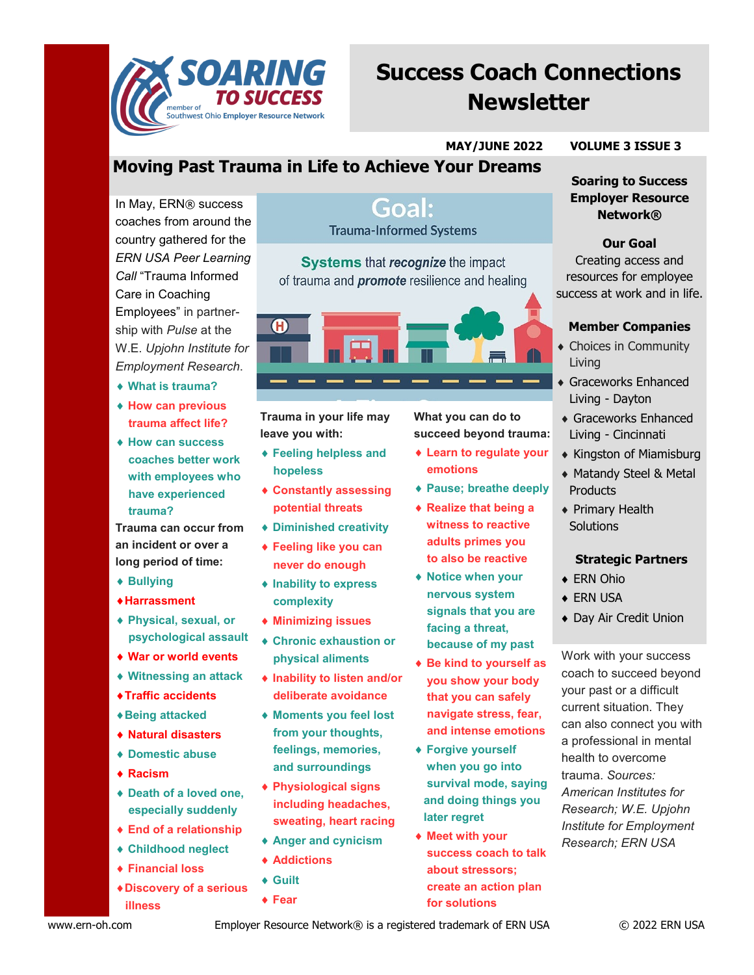

# **Success Coach Connections Newsletter**

#### **MAY/JUNE 2022 VOLUME 3 ISSUE 3**

# **Moving Past Trauma in Life to Achieve Your Dreams**

In May, ERN® success coaches from around the country gathered for the *ERN USA Peer Learning Call* "Trauma Informed Care in Coaching Employees" in partnership with *Pulse* at the W.E. *Upjohn Institute for Employment Research*.

- **What is trauma?**
- **How can previous trauma affect life?**
- **How can success coaches better work with employees who have experienced trauma?**

**Trauma can occur from an incident or over a long period of time:**

- **Bullying**
- **Harrassment**
- **Physical, sexual, or psychological assault**
- **War or world events**
- **Witnessing an attack**
- **Traffic accidents**
- **Being attacked**
- **Natural disasters**
- **Domestic abuse**
- **Racism**
- **Death of a loved one, especially suddenly**
- **End of a relationship**
- **Childhood neglect**
- **Financial loss**
- **Discovery of a serious illness**

### Goal: **Trauma-Informed Systems**

**Systems that recognize the impact** of trauma and **promote** resilience and healing



**Trauma in your life may leave you with:**

- **Feeling helpless and hopeless**
- **Constantly assessing potential threats**
- **Diminished creativity**
- **Feeling like you can never do enough**
- **Inability to express complexity**
- **Minimizing issues**
- **Chronic exhaustion or physical aliments**
- **Inability to listen and/or deliberate avoidance**
- **Moments you feel lost from your thoughts, feelings, memories, and surroundings**
- **Physiological signs including headaches, sweating, heart racing**
- **Anger and cynicism**
- **Addictions**
- **Guilt**
- **Fear**

**What you can do to succeed beyond trauma:**

- **Learn to regulate your emotions**
- **Pause; breathe deeply**
- **Realize that being a witness to reactive adults primes you to also be reactive**
- **Notice when your nervous system signals that you are facing a threat, because of my past**
- **Be kind to yourself as you show your body that you can safely navigate stress, fear, and intense emotions**
- **Forgive yourself when you go into survival mode, saying and doing things you later regret**
- **Meet with your success coach to talk about stressors; create an action plan for solutions**

# **Soaring to Success**

### **Employer Resource Network®**

**Our Goal** Creating access and resources for employee success at work and in life.

#### **Member Companies**

- Choices in Community Living
- Graceworks Enhanced Living - Dayton
- Graceworks Enhanced Living - Cincinnati
- Kingston of Miamisburg
- Matandy Steel & Metal **Products**
- Primary Health **Solutions**

#### **Strategic Partners**

- ◆ ERN Ohio
- ◆ ERN USA
- Day Air Credit Union

Work with your success coach to succeed beyond your past or a difficult current situation. They can also connect you with a professional in mental health to overcome trauma. *Sources: American Institutes for Research; W.E. Upjohn Institute for Employment Research; ERN USA*